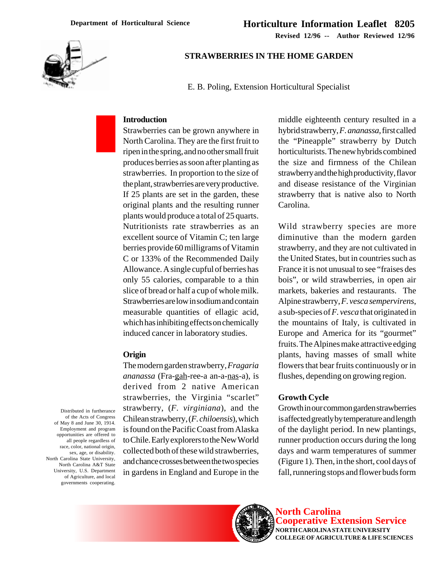**Revised 12/96 -- Author Reviewed 12/96**



## **STRAWBERRIES IN THE HOME GARDEN**

E. B. Poling, Extension Horticultural Specialist

#### **Introduction**

Strawberries can be grown anywhere in North Carolina. They are the first fruit to ripen in the spring, and no other small fruit produces berries as soon after planting as strawberries. In proportion to the size of the plant, strawberries are very productive. If 25 plants are set in the garden, these original plants and the resulting runner plants would produce a total of 25 quarts. Nutritionists rate strawberries as an excellent source of Vitamin C; ten large berries provide 60 milligrams of Vitamin C or 133% of the Recommended Daily Allowance. A single cupful of berries has only 55 calories, comparable to a thin slice of bread or half a cup of whole milk. Strawberries are low in sodium and contain measurable quantities of ellagic acid, which has inhibiting effects on chemically induced cancer in laboratory studies.

## **Origin**

The modern garden strawberry, *Fragaria ananassa* (Fra-gah-ree-a an-a-nas-a), is derived from 2 native American strawberries, the Virginia "scarlet" strawberry, (*F. virginiana*), and the Chilean strawberry, (*F. chiloensis*), which is found on the Pacific Coast from Alaska to Chile. Early explorers to the New World collected both of these wild strawberries, and chance crosses between the two species in gardens in England and Europe in the

middle eighteenth century resulted in a hybrid strawberry, *F. ananassa*, first called the "Pineapple" strawberry by Dutch horticulturists. The new hybrids combined the size and firmness of the Chilean strawberry and the high productivity, flavor and disease resistance of the Virginian strawberry that is native also to North Carolina.

Wild strawberry species are more diminutive than the modern garden strawberry, and they are not cultivated in the United States, but in countries such as France it is not unusual to see "fraises des bois", or wild strawberries, in open air markets, bakeries and restaurants. The Alpine strawberry, *F. vesca sempervirens*, a sub-species of *F. vesca* that originated in the mountains of Italy, is cultivated in Europe and America for its "gourmet" fruits. The Alpines make attractive edging plants, having masses of small white flowers that bear fruits continuously or in flushes, depending on growing region.

## **Growth Cycle**

Growth in our common garden strawberries is affected greatly by temperature and length of the daylight period. In new plantings, runner production occurs during the long days and warm temperatures of summer (Figure 1). Then, in the short, cool days of fall, runnering stops and flower buds form





**North Carolina Cooperative Extension Service NORTH CAROLINA STATE UNIVERSITY COLLEGE OF AGRICULTURE & LIFE SCIENCES**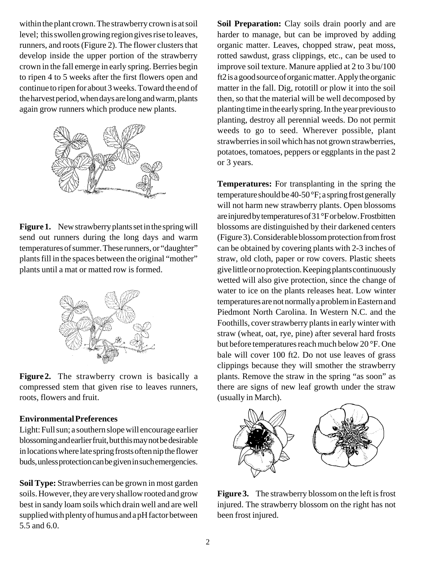within the plant crown. The strawberry crown is at soil level; this swollen growing region gives rise to leaves, runners, and roots (Figure 2). The flower clusters that develop inside the upper portion of the strawberry crown in the fall emerge in early spring. Berries begin to ripen 4 to 5 weeks after the first flowers open and continue to ripen for about 3 weeks. Toward the end of the harvest period, when days are long and warm, plants again grow runners which produce new plants.



Figure 1. New strawberry plants set in the spring will send out runners during the long days and warm temperatures of summer. These runners, or "daughter" plants fill in the spaces between the original "mother" plants until a mat or matted row is formed.



**Figure 2.** The strawberry crown is basically a compressed stem that given rise to leaves runners, roots, flowers and fruit.

## **Environmental Preferences**

Light: Full sun; a southern slope will encourage earlier blossoming and earlier fruit, but this may not be desirable in locations where late spring frosts often nip the flower buds, unless protection can be given in such emergencies.

**Soil Type:** Strawberries can be grown in most garden soils. However, they are very shallow rooted and grow best in sandy loam soils which drain well and are well supplied with plenty of humus and a pH factor between 5.5 and 6.0.

**Soil Preparation:** Clay soils drain poorly and are harder to manage, but can be improved by adding organic matter. Leaves, chopped straw, peat moss, rotted sawdust, grass clippings, etc., can be used to improve soil texture. Manure applied at 2 to 3 bu/100 ft2 is a good source of organic matter. Apply the organic matter in the fall. Dig, rototill or plow it into the soil then, so that the material will be well decomposed by planting time in the early spring. In the year previous to planting, destroy all perennial weeds. Do not permit weeds to go to seed. Wherever possible, plant strawberries in soil which has not grown strawberries, potatoes, tomatoes, peppers or eggplants in the past 2 or 3 years.

**Temperatures:** For transplanting in the spring the temperature should be 40-50 °F; a spring frost generally will not harm new strawberry plants. Open blossoms are injured by temperatures of 31 °F or below. Frostbitten blossoms are distinguished by their darkened centers (Figure 3). Considerable blossom protection from frost can be obtained by covering plants with 2-3 inches of straw, old cloth, paper or row covers. Plastic sheets give little or no protection. Keeping plants continuously wetted will also give protection, since the change of water to ice on the plants releases heat. Low winter temperatures are not normally a problem in Eastern and Piedmont North Carolina. In Western N.C. and the Foothills, cover strawberry plants in early winter with straw (wheat, oat, rye, pine) after several hard frosts but before temperatures reach much below 20 °F. One bale will cover 100 ft2. Do not use leaves of grass clippings because they will smother the strawberry plants. Remove the straw in the spring "as soon" as there are signs of new leaf growth under the straw (usually in March).



**Figure 3.** The strawberry blossom on the left is frost injured. The strawberry blossom on the right has not been frost injured.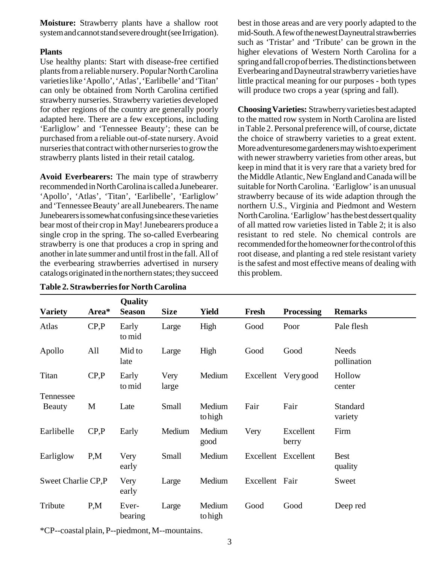**Moisture:** Strawberry plants have a shallow root system and cannot stand severe drought (see Irrigation).

## **Plants**

Use healthy plants: Start with disease-free certified plants from a reliable nursery. Popular North Carolina varieties like 'Apollo', 'Atlas', 'Earlibelle' and 'Titan' can only be obtained from North Carolina certified strawberry nurseries. Strawberry varieties developed for other regions of the country are generally poorly adapted here. There are a few exceptions, including 'Earliglow' and 'Tennessee Beauty'; these can be purchased from a reliable out-of-state nursery. Avoid nurseries that contract with other nurseries to grow the strawberry plants listed in their retail catalog.

**Avoid Everbearers:** The main type of strawberry recommended in North Carolina is called a Junebearer. 'Apollo', 'Atlas', 'Titan', 'Earlibelle', 'Earliglow' and 'Tennessee Beauty' are all Junebearers. The name Junebearers is somewhat confusing since these varieties bear most of their crop in May! Junebearers produce a single crop in the spring. The so-called Everbearing strawberry is one that produces a crop in spring and another in late summer and until frost in the fall. All of the everbearing strawberries advertised in nursery catalogs originated in the northern states; they succeed

best in those areas and are very poorly adapted to the mid-South. A few of the newest Dayneutral strawberries such as 'Tristar' and 'Tribute' can be grown in the higher elevations of Western North Carolina for a spring and fall crop of berries. The distinctions between Everbearing and Dayneutral strawberry varieties have little practical meaning for our purposes - both types will produce two crops a year (spring and fall).

**Choosing Varieties:** Strawberry varieties best adapted to the matted row system in North Carolina are listed in Table 2. Personal preference will, of course, dictate the choice of strawberry varieties to a great extent. More adventuresome gardeners may wish to experiment with newer strawberry varieties from other areas, but keep in mind that it is very rare that a variety bred for the Middle Atlantic, New England and Canada will be suitable for North Carolina. 'Earliglow' is an unusual strawberry because of its wide adaption through the northern U.S., Virginia and Piedmont and Western North Carolina. 'Earliglow' has the best dessert quality of all matted row varieties listed in Table 2; it is also resistant to red stele. No chemical controls are recommended for the homeowner for the control of this root disease, and planting a red stele resistant variety is the safest and most effective means of dealing with this problem.

| <b>Variety</b>     | Area* | Quality<br><b>Season</b> | <b>Size</b>   | <b>Yield</b>      | Fresh          | <b>Processing</b>  | <b>Remarks</b>              |
|--------------------|-------|--------------------------|---------------|-------------------|----------------|--------------------|-----------------------------|
| Atlas              | CP, P | Early<br>to mid          | Large         | High              | Good           | Poor               | Pale flesh                  |
| Apollo             | All   | Mid to<br>late           | Large         | High              | Good           | Good               | <b>Needs</b><br>pollination |
| Titan              | CP, P | Early<br>to mid          | Very<br>large | Medium            | Excellent      | Very good          | Hollow<br>center            |
| Tennessee          |       |                          |               |                   |                |                    |                             |
| Beauty             | M     | Late                     | Small         | Medium<br>to high | Fair           | Fair               | Standard<br>variety         |
| Earlibelle         | CP.P  | Early                    | Medium        | Medium<br>good    | Very           | Excellent<br>berry | Firm                        |
| Earliglow          | P,M   | Very<br>early            | Small         | Medium            | Excellent      | Excellent          | <b>Best</b><br>quality      |
| Sweet Charlie CP,P |       | Very<br>early            | Large         | Medium            | Excellent Fair |                    | Sweet                       |
| Tribute            | P.M   | Ever-<br>bearing         | Large         | Medium<br>tohigh  | Good           | Good               | Deep red                    |

\*CP--coastal plain, P--piedmont, M--mountains.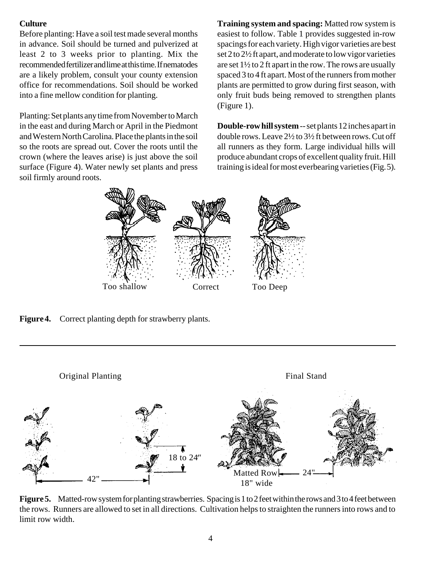# **Culture**

Before planting: Have a soil test made several months in advance. Soil should be turned and pulverized at least 2 to 3 weeks prior to planting. Mix the recommended fertilizer and lime at this time. If nematodes are a likely problem, consult your county extension office for recommendations. Soil should be worked into a fine mellow condition for planting.

Planting: Set plants any time from November to March in the east and during March or April in the Piedmont and Western North Carolina. Place the plants in the soil so the roots are spread out. Cover the roots until the crown (where the leaves arise) is just above the soil surface (Figure 4). Water newly set plants and press soil firmly around roots.

**Training system and spacing:** Matted row system is easiest to follow. Table 1 provides suggested in-row spacings for each variety. High vigor varieties are best set 2 to 2½ ft apart, and moderate to low vigor varieties are set 1½ to 2 ft apart in the row. The rows are usually spaced 3 to 4 ft apart. Most of the runners from mother plants are permitted to grow during first season, with only fruit buds being removed to strengthen plants (Figure 1).

**Double-row hill system** -- set plants 12 inches apart in double rows. Leave 2½ to 3½ ft between rows. Cut off all runners as they form. Large individual hills will produce abundant crops of excellent quality fruit. Hill training is ideal for most everbearing varieties (Fig. 5).



**Figure 4.** Correct planting depth for strawberry plants.



**Figure 5.** Matted-row system for planting strawberries. Spacing is 1 to 2 feet within the rows and 3 to 4 feet between the rows. Runners are allowed to set in all directions. Cultivation helps to straighten the runners into rows and to limit row width.